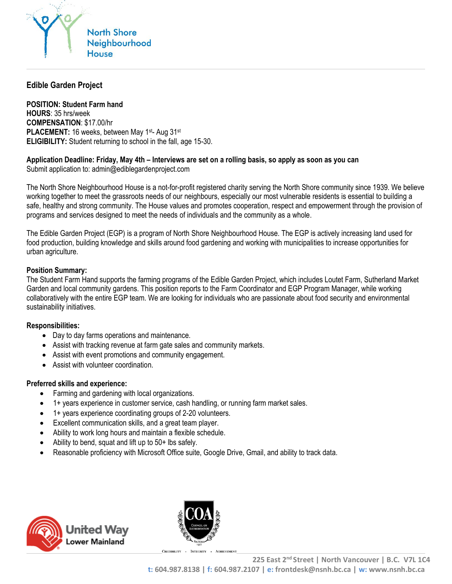

# **Edible Garden Project**

**POSITION: Student Farm hand HOURS**: 35 hrs/week **COMPENSATION**: \$17.00/hr **PLACEMENT:** 16 weeks, between May 1<sup>st</sup>- Aug 31<sup>st</sup> **ELIGIBILITY:** Student returning to school in the fall, age 15-30.

## **Application Deadline: Friday, May 4th – Interviews are set on a rolling basis, so apply as soon as you can**

Submit application to: admin@ediblegardenproject.com

The North Shore Neighbourhood House is a not-for-profit registered charity serving the North Shore community since 1939. We believe working together to meet the grassroots needs of our neighbours, especially our most vulnerable residents is essential to building a safe, healthy and strong community. The House values and promotes cooperation, respect and empowerment through the provision of programs and services designed to meet the needs of individuals and the community as a whole.

The Edible Garden Project (EGP) is a program of North Shore Neighbourhood House. The EGP is actively increasing land used for food production, building knowledge and skills around food gardening and working with municipalities to increase opportunities for urban agriculture.

#### **Position Summary:**

The Student Farm Hand supports the farming programs of the Edible Garden Project, which includes Loutet Farm, Sutherland Market Garden and local community gardens. This position reports to the Farm Coordinator and EGP Program Manager, while working collaboratively with the entire EGP team. We are looking for individuals who are passionate about food security and environmental sustainability initiatives.

#### **Responsibilities:**

- Day to day farms operations and maintenance.
- Assist with tracking revenue at farm gate sales and community markets.
- Assist with event promotions and community engagement.
- Assist with volunteer coordination.

#### **Preferred skills and experience:**

- Farming and gardening with local organizations.
- 1+ years experience in customer service, cash handling, or running farm market sales.
- 1+ years experience coordinating groups of 2-20 volunteers.
- Excellent communication skills, and a great team player.
- Ability to work long hours and maintain a flexible schedule.
- Ability to bend, squat and lift up to 50+ lbs safely.
- Reasonable proficiency with Microsoft Office suite, Google Drive, Gmail, and ability to track data.